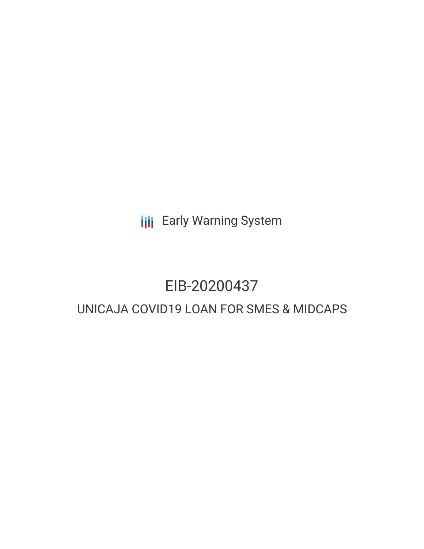**III** Early Warning System

# EIB-20200437

# UNICAJA COVID19 LOAN FOR SMES & MIDCAPS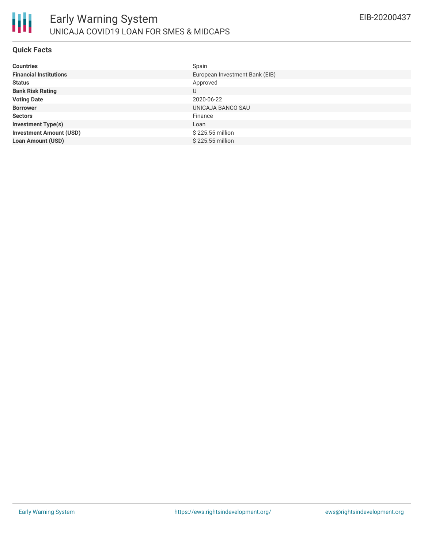

# **Quick Facts**

| <b>Countries</b>               | Spain                          |
|--------------------------------|--------------------------------|
| <b>Financial Institutions</b>  | European Investment Bank (EIB) |
| <b>Status</b>                  | Approved                       |
| <b>Bank Risk Rating</b>        | U                              |
| <b>Voting Date</b>             | 2020-06-22                     |
| <b>Borrower</b>                | UNICAJA BANCO SAU              |
| <b>Sectors</b>                 | Finance                        |
| <b>Investment Type(s)</b>      | Loan                           |
| <b>Investment Amount (USD)</b> | \$225.55 million               |
| <b>Loan Amount (USD)</b>       | \$225.55 million               |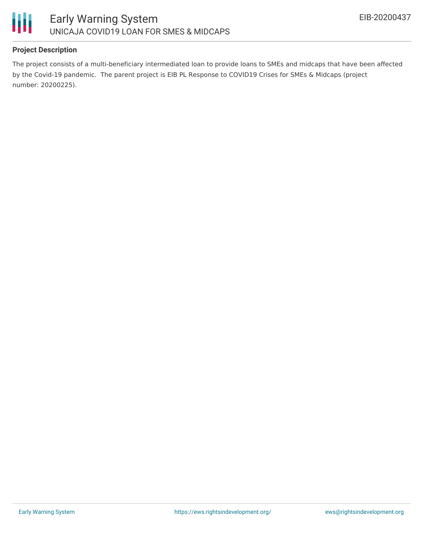

# **Project Description**

The project consists of a multi-beneficiary intermediated loan to provide loans to SMEs and midcaps that have been affected by the Covid-19 pandemic. The parent project is EIB PL Response to COVID19 Crises for SMEs & Midcaps (project number: 20200225).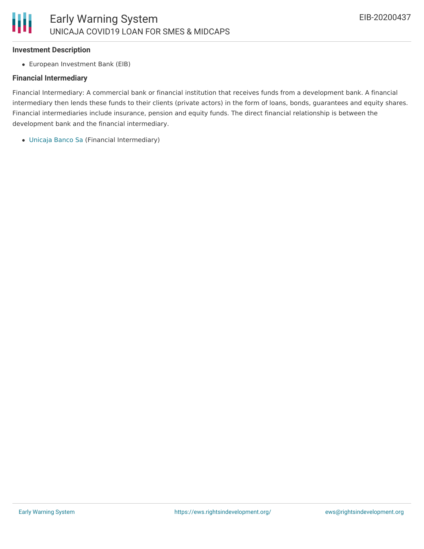#### **Investment Description**

European Investment Bank (EIB)

# **Financial Intermediary**

Financial Intermediary: A commercial bank or financial institution that receives funds from a development bank. A financial intermediary then lends these funds to their clients (private actors) in the form of loans, bonds, guarantees and equity shares. Financial intermediaries include insurance, pension and equity funds. The direct financial relationship is between the development bank and the financial intermediary.

[Unicaja](file:///actor/3002/) Banco Sa (Financial Intermediary)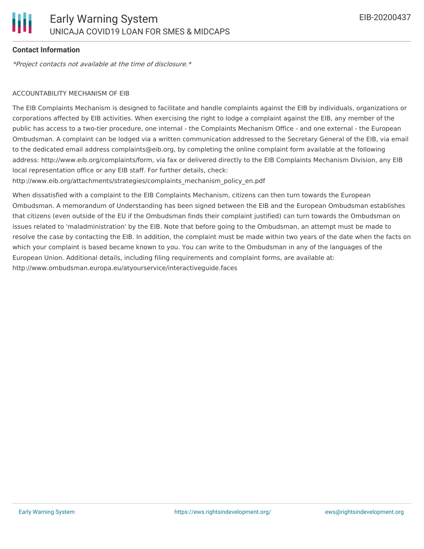# **Contact Information**

\*Project contacts not available at the time of disclosure.\*

# ACCOUNTABILITY MECHANISM OF EIB

The EIB Complaints Mechanism is designed to facilitate and handle complaints against the EIB by individuals, organizations or corporations affected by EIB activities. When exercising the right to lodge a complaint against the EIB, any member of the public has access to a two-tier procedure, one internal - the Complaints Mechanism Office - and one external - the European Ombudsman. A complaint can be lodged via a written communication addressed to the Secretary General of the EIB, via email to the dedicated email address complaints@eib.org, by completing the online complaint form available at the following address: http://www.eib.org/complaints/form, via fax or delivered directly to the EIB Complaints Mechanism Division, any EIB local representation office or any EIB staff. For further details, check:

http://www.eib.org/attachments/strategies/complaints\_mechanism\_policy\_en.pdf

When dissatisfied with a complaint to the EIB Complaints Mechanism, citizens can then turn towards the European Ombudsman. A memorandum of Understanding has been signed between the EIB and the European Ombudsman establishes that citizens (even outside of the EU if the Ombudsman finds their complaint justified) can turn towards the Ombudsman on issues related to 'maladministration' by the EIB. Note that before going to the Ombudsman, an attempt must be made to resolve the case by contacting the EIB. In addition, the complaint must be made within two years of the date when the facts on which your complaint is based became known to you. You can write to the Ombudsman in any of the languages of the European Union. Additional details, including filing requirements and complaint forms, are available at: http://www.ombudsman.europa.eu/atyourservice/interactiveguide.faces